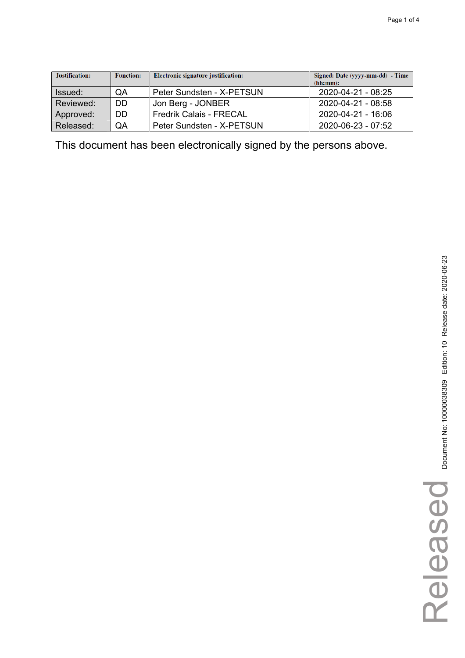| Justification: | <b>Function:</b> | Electronic signature justification: | Signed: Date (yyyy-mm-dd) - Time<br>(hh:mm): |
|----------------|------------------|-------------------------------------|----------------------------------------------|
| Issued:        | QA               | Peter Sundsten - X-PETSUN           | 2020-04-21 - 08:25                           |
| Reviewed:      | DD               | Jon Berg - JONBER                   | 2020-04-21 - 08:58                           |
| Approved:      | DD               | <b>Fredrik Calais - FRECAL</b>      | 2020-04-21 - 16:06                           |
| Released:      | QA               | Peter Sundsten - X-PETSUN           | 2020-06-23 - 07:52                           |

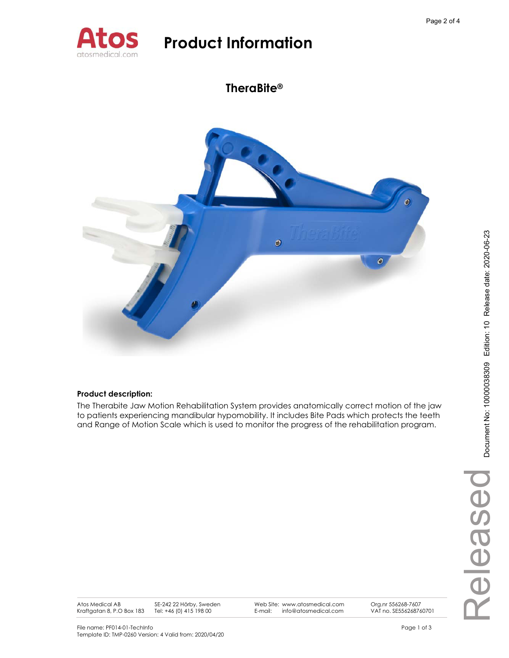

## **TheraBite®**



### **Product description:**

The Therabite Jaw Motion Rehabilitation System provides anatomically correct motion of the jaw to patients experiencing mandibular hypomobility. It includes Bite Pads which protects the teeth and Range of Motion Scale which is used to monitor the progress of the rehabilitation program.

Atos Medical AB Kraftgatan 8, P.O Box 183 SE-242 22 Hörby, Sweden Tel: +46 (0) 415 198 00

Web Site: www.atosmedical.com E-mail: info@atosmedical.com

Org.nr 556268-7607 VAT no. SE556268760701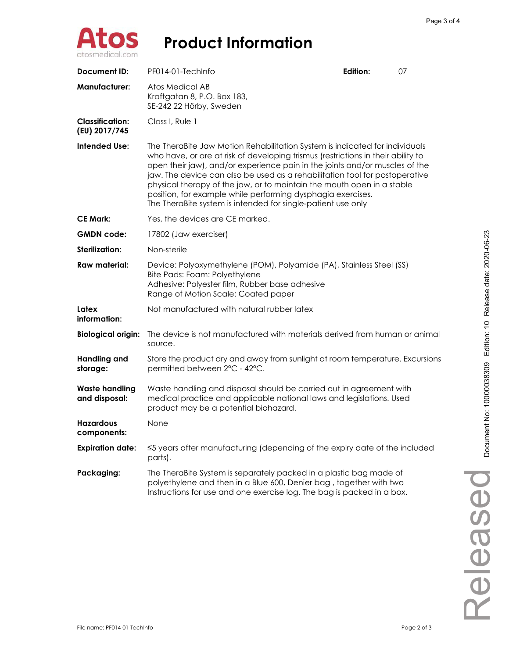

| <b>Document ID:</b>                     | PF014-01-TechInfo                                                                                                                                                                                                                                                                                                                                                                                                                                                                                                                      | Edition: | 07 |
|-----------------------------------------|----------------------------------------------------------------------------------------------------------------------------------------------------------------------------------------------------------------------------------------------------------------------------------------------------------------------------------------------------------------------------------------------------------------------------------------------------------------------------------------------------------------------------------------|----------|----|
| <b>Manufacturer:</b>                    | Atos Medical AB<br>Kraftgatan 8, P.O. Box 183,<br>SE-242 22 Hörby, Sweden                                                                                                                                                                                                                                                                                                                                                                                                                                                              |          |    |
| <b>Classification:</b><br>(EU) 2017/745 | Class I, Rule 1                                                                                                                                                                                                                                                                                                                                                                                                                                                                                                                        |          |    |
| <b>Intended Use:</b>                    | The TheraBite Jaw Motion Rehabilitation System is indicated for individuals<br>who have, or are at risk of developing trismus (restrictions in their ability to<br>open their jaw), and/or experience pain in the joints and/or muscles of the<br>jaw. The device can also be used as a rehabilitation tool for postoperative<br>physical therapy of the jaw, or to maintain the mouth open in a stable<br>position, for example while performing dysphagia exercises.<br>The TheraBite system is intended for single-patient use only |          |    |
| <b>CE Mark:</b>                         | Yes, the devices are CE marked.                                                                                                                                                                                                                                                                                                                                                                                                                                                                                                        |          |    |
| <b>GMDN</b> code:                       | 17802 (Jaw exerciser)                                                                                                                                                                                                                                                                                                                                                                                                                                                                                                                  |          |    |
| Sterilization:                          | Non-sterile                                                                                                                                                                                                                                                                                                                                                                                                                                                                                                                            |          |    |
| <b>Raw material:</b>                    | Device: Polyoxymethylene (POM), Polyamide (PA), Stainless Steel (SS)<br>Bite Pads: Foam: Polyethylene<br>Adhesive: Polyester film, Rubber base adhesive<br>Range of Motion Scale: Coated paper                                                                                                                                                                                                                                                                                                                                         |          |    |
| Latex<br>information:                   | Not manufactured with natural rubber latex                                                                                                                                                                                                                                                                                                                                                                                                                                                                                             |          |    |
| <b>Biological origin:</b>               | The device is not manufactured with materials derived from human or animal<br>source.                                                                                                                                                                                                                                                                                                                                                                                                                                                  |          |    |
| <b>Handling and</b><br>storage:         | Store the product dry and away from sunlight at room temperature. Excursions<br>permitted between 2°C - 42°C.                                                                                                                                                                                                                                                                                                                                                                                                                          |          |    |
| <b>Waste handling</b><br>and disposal:  | Waste handling and disposal should be carried out in agreement with<br>medical practice and applicable national laws and legislations. Used<br>product may be a potential biohazard.                                                                                                                                                                                                                                                                                                                                                   |          |    |
| <b>Hazardous</b><br>components:         | None                                                                                                                                                                                                                                                                                                                                                                                                                                                                                                                                   |          |    |
| <b>Expiration date:</b>                 | ≤5 years after manufacturing (depending of the expiry date of the included<br>parts).                                                                                                                                                                                                                                                                                                                                                                                                                                                  |          |    |
| Packaging:                              | The TheraBite System is separately packed in a plastic bag made of<br>polyethylene and then in a Blue 600, Denier bag, together with two<br>Instructions for use and one exercise log. The bag is packed in a box.                                                                                                                                                                                                                                                                                                                     |          |    |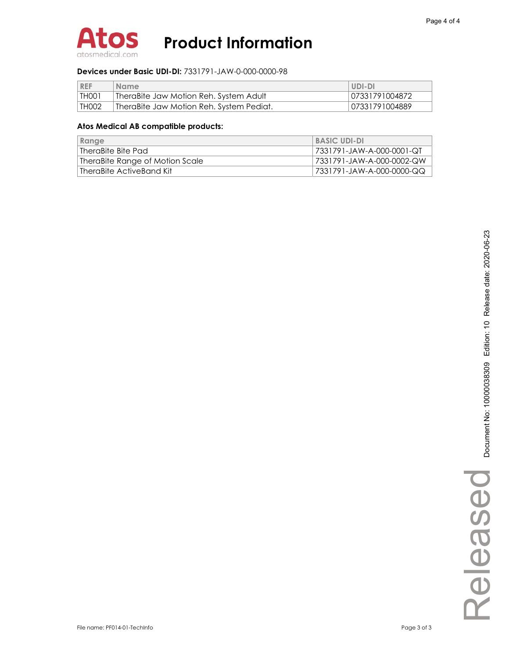

#### **Devices under Basic UDI-DI:** 7331791-JAW-0-000-0000-98

| <b>REF</b> | Name <sup>-</sup>                          | UDI-DI         |
|------------|--------------------------------------------|----------------|
| THOO ì     | . TheraBite Jaw Motion Reh. System Adult . | 07331791004872 |
| TH002      | TheraBite Jaw Motion Reh. System Pediat.   | 07331791004889 |

| Range                           | <b>BASIC UDI-DI</b>       |
|---------------------------------|---------------------------|
| TheraBite Bite Pad              | 7331791-JAW-A-000-0001-QT |
| TheraBite Range of Motion Scale | 7331791-JAW-A-000-0002-QW |
| TheraBite ActiveBand Kit        | 7331791-JAW-A-000-0000-QQ |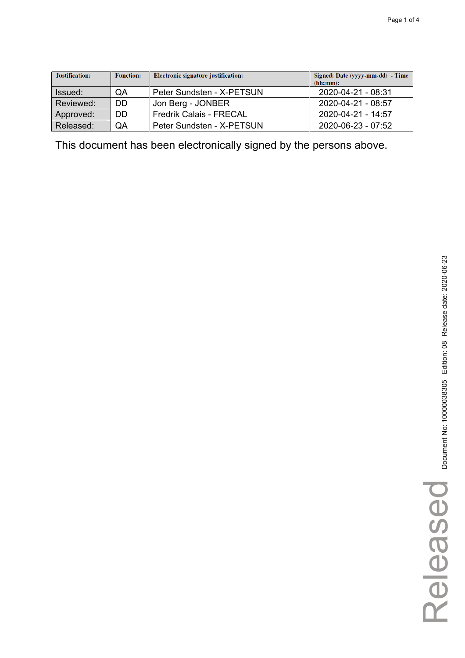| Justification: | <b>Function:</b> | Electronic signature justification: | Signed: Date (yyyy-mm-dd) - Time<br>(hh:mm): |
|----------------|------------------|-------------------------------------|----------------------------------------------|
| Issued:        | QA               | Peter Sundsten - X-PETSUN           | 2020-04-21 - 08:31                           |
| Reviewed:      | DD               | Jon Berg - JONBER                   | $2020 - 04 - 21 - 08.57$                     |
| Approved:      | DD               | <b>Fredrik Calais - FRECAL</b>      | 2020-04-21 - 14:57                           |
| Released:      | QA               | Peter Sundsten - X-PETSUN           | 2020-06-23 - 07:52                           |

Released

Released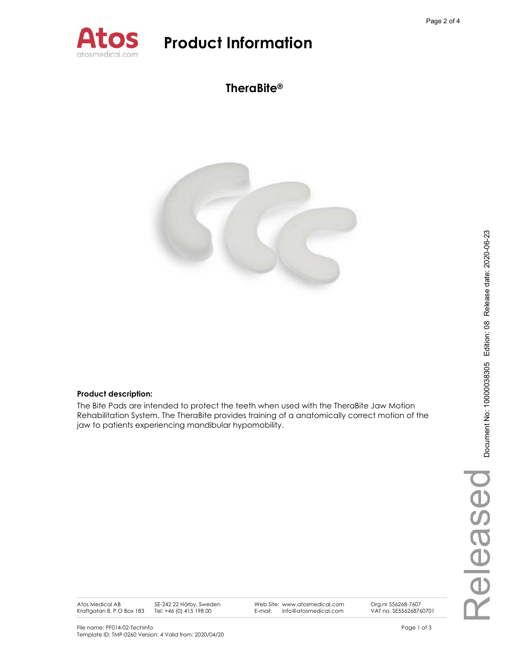

## **TheraBite®**



### **Product description:**

The Bite Pads are intended to protect the teeth when used with the TheraBite Jaw Motion Rehabilitation System. The TheraBite provides training of a anatomically correct motion of the jaw to patients experiencing mandibular hypomobility.

Atos Medical AB Kraftgatan 8, P.O Box 183 SE-242 22 Hörby, Sweden Tel: +46 (0) 415 198 00

Web Site: www.atosmedical.com E-mail: info@atosmedical.com

VAT no. SE556268760701

Org.nr 556268-7607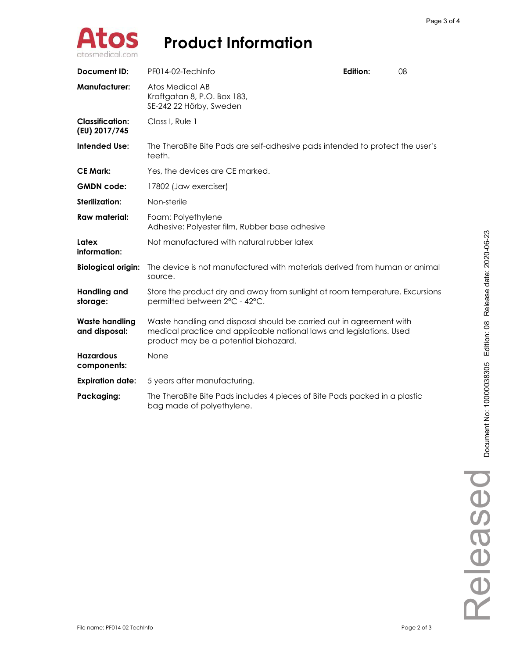

| <b>Document ID:</b>                     | PF014-02-TechInfo                                                                                                                                                                    | Edition: | 08 |
|-----------------------------------------|--------------------------------------------------------------------------------------------------------------------------------------------------------------------------------------|----------|----|
| <b>Manufacturer:</b>                    | Atos Medical AB<br>Kraftgatan 8, P.O. Box 183,<br>SE-242 22 Hörby, Sweden                                                                                                            |          |    |
| <b>Classification:</b><br>(EU) 2017/745 | Class I. Rule 1                                                                                                                                                                      |          |    |
| <b>Intended Use:</b>                    | The TheraBite Bite Pads are self-adhesive pads intended to protect the user's<br>teeth.                                                                                              |          |    |
| <b>CE Mark:</b>                         | Yes, the devices are CE marked.                                                                                                                                                      |          |    |
| <b>GMDN</b> code:                       | 17802 (Jaw exerciser)                                                                                                                                                                |          |    |
| Sterilization:                          | Non-sterile                                                                                                                                                                          |          |    |
| <b>Raw material:</b>                    | Foam: Polyethylene<br>Adhesive: Polyester film, Rubber base adhesive                                                                                                                 |          |    |
| Latex<br>information:                   | Not manufactured with natural rubber latex                                                                                                                                           |          |    |
| <b>Biological origin:</b>               | The device is not manufactured with materials derived from human or animal<br>source.                                                                                                |          |    |
| <b>Handling and</b><br>storage:         | Store the product dry and away from sunlight at room temperature. Excursions<br>permitted between 2°C - 42°C.                                                                        |          |    |
| <b>Waste handling</b><br>and disposal:  | Waste handling and disposal should be carried out in agreement with<br>medical practice and applicable national laws and legislations. Used<br>product may be a potential biohazard. |          |    |
| <b>Hazardous</b><br>components:         | None                                                                                                                                                                                 |          |    |
| <b>Expiration date:</b>                 | 5 years after manufacturing.                                                                                                                                                         |          |    |
| Packaging:                              | The TheraBite Bite Pads includes 4 pieces of Bite Pads packed in a plastic<br>bag made of polyethylene.                                                                              |          |    |

Released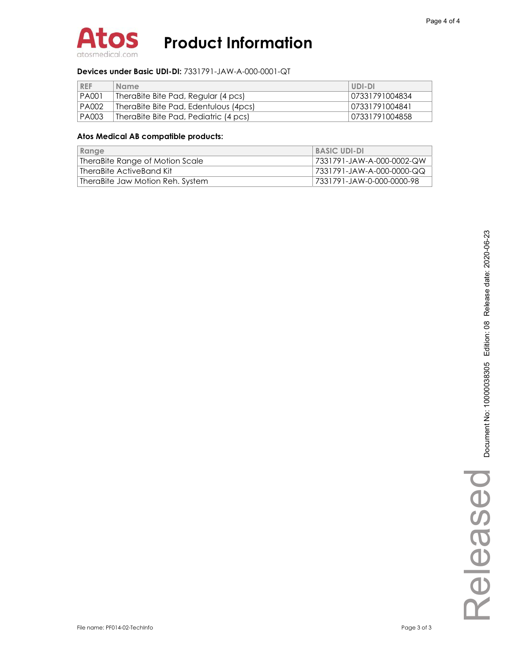

### **Devices under Basic UDI-DI:** 7331791-JAW-A-000-0001-QT

| <b>REF</b>   | <b>Name</b>                           | UDI-DI         |
|--------------|---------------------------------------|----------------|
| <b>PA001</b> | TheraBite Bite Pad, Regular (4 pcs)   | 07331791004834 |
| <b>PA002</b> | TheraBite Bite Pad, Edentulous (4pcs) | 07331791004841 |
| <b>PA003</b> | TheraBite Bite Pad, Pediatric (4 pcs) | 07331791004858 |

| Range                            | <b>BASIC UDI-DI</b>       |
|----------------------------------|---------------------------|
| TheraBite Range of Motion Scale  | 7331791-JAW-A-000-0002-QW |
| TheraBite ActiveBand Kit         | 7331791-JAW-A-000-0000-QQ |
| TheraBite Jaw Motion Reh. System | 7331791-JAW-0-000-0000-98 |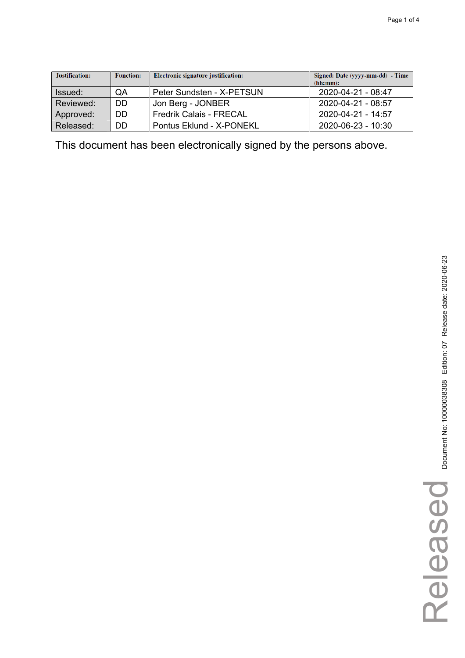| Justification: | <b>Function:</b> | Electronic signature justification: | Signed: Date (yyyy-mm-dd) - Time<br>(hh:mm): |
|----------------|------------------|-------------------------------------|----------------------------------------------|
| Issued:        | QA               | Peter Sundsten - X-PETSUN           | 2020-04-21 - 08:47                           |
| Reviewed:      | DD               | Jon Berg - JONBER                   | 2020-04-21 - 08:57                           |
| Approved:      | DD               | <b>Fredrik Calais - FRECAL</b>      | 2020-04-21 - 14:57                           |
| Released:      | DD               | Pontus Eklund - X-PONEKL            | 2020-06-23 - 10:30                           |

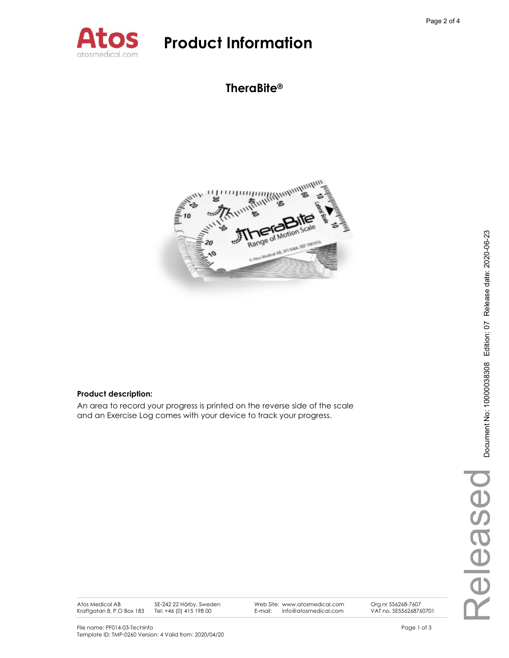

## **TheraBite®**



Web Site: www.atosmedical.com E-mail: info@atosmedical.com

### **Product description:**

An area to record your progress is printed on the reverse side of the scale and an Exercise Log comes with your device to track your progress.

Atos Medical AB Kraftgatan 8, P.O Box 183 SE-242 22 Hörby, Sweden Tel: +46 (0) 415 198 00

Org.nr 556268-7607 VAT no. SE556268760701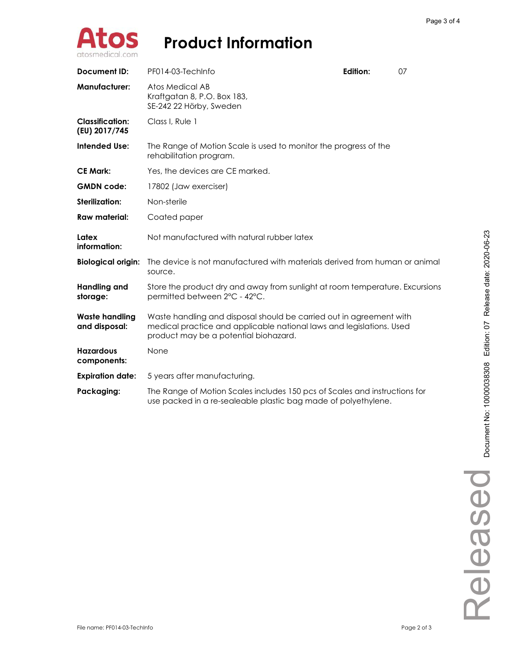

| <b>Document ID:</b>                     | PF014-03-TechInfo                                                                                                                                                                    | Edition: | 07 |  |
|-----------------------------------------|--------------------------------------------------------------------------------------------------------------------------------------------------------------------------------------|----------|----|--|
| <b>Manufacturer:</b>                    | Atos Medical AB<br>Kraftgatan 8, P.O. Box 183,<br>SE-242 22 Hörby, Sweden                                                                                                            |          |    |  |
| <b>Classification:</b><br>(EU) 2017/745 | Class I, Rule 1                                                                                                                                                                      |          |    |  |
| <b>Intended Use:</b>                    | The Range of Motion Scale is used to monitor the progress of the<br>rehabilitation program.                                                                                          |          |    |  |
| <b>CE Mark:</b>                         | Yes, the devices are CE marked.                                                                                                                                                      |          |    |  |
| <b>GMDN</b> code:                       | 17802 (Jaw exerciser)                                                                                                                                                                |          |    |  |
| <b>Sterilization:</b>                   | Non-sterile                                                                                                                                                                          |          |    |  |
| <b>Raw material:</b>                    | Coated paper                                                                                                                                                                         |          |    |  |
| Latex<br>information:                   | Not manufactured with natural rubber latex                                                                                                                                           |          |    |  |
| <b>Biological origin:</b>               | The device is not manufactured with materials derived from human or animal<br>source.                                                                                                |          |    |  |
| <b>Handling and</b><br>storage:         | Store the product dry and away from sunlight at room temperature. Excursions<br>permitted between 2°C - 42°C.                                                                        |          |    |  |
| <b>Waste handling</b><br>and disposal:  | Waste handling and disposal should be carried out in agreement with<br>medical practice and applicable national laws and legislations. Used<br>product may be a potential biohazard. |          |    |  |
| <b>Hazardous</b><br>components:         | None                                                                                                                                                                                 |          |    |  |
| <b>Expiration date:</b>                 | 5 years after manufacturing.                                                                                                                                                         |          |    |  |
| Packaging:                              | The Range of Motion Scales includes 150 pcs of Scales and instructions for<br>use packed in a re-sealeable plastic bag made of polyethylene.                                         |          |    |  |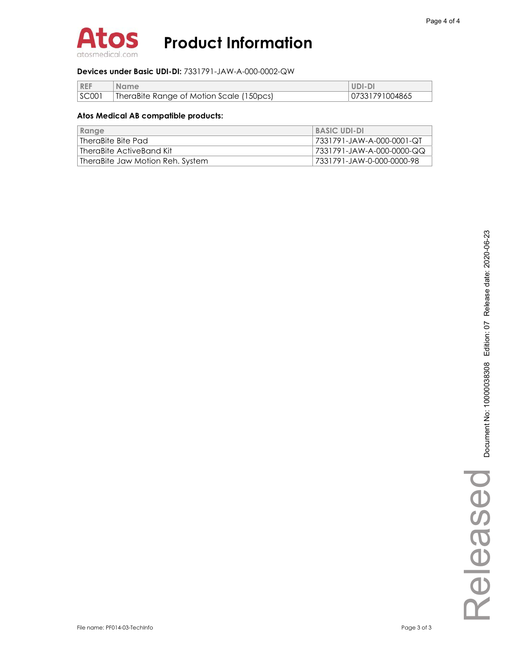

### **Devices under Basic UDI-DI:** 7331791-JAW-A-000-0002-QW

| <b>REF</b> | <b>Name</b>                              | UDI-DI         |
|------------|------------------------------------------|----------------|
| SC001      | TheraBite Range of Motion Scale (150pcs) | 07331791004865 |

| Range                            | <b>BASIC UDI-DI</b>        |
|----------------------------------|----------------------------|
| TheraBite Bite Pad               | 17331791-JAW-A-000-0001-QT |
| TheraBite ActiveBand Kit         | 7331791-JAW-A-000-0000-QQ  |
| TheraBite Jaw Motion Reh. System | 7331791-JAW-0-000-0000-98  |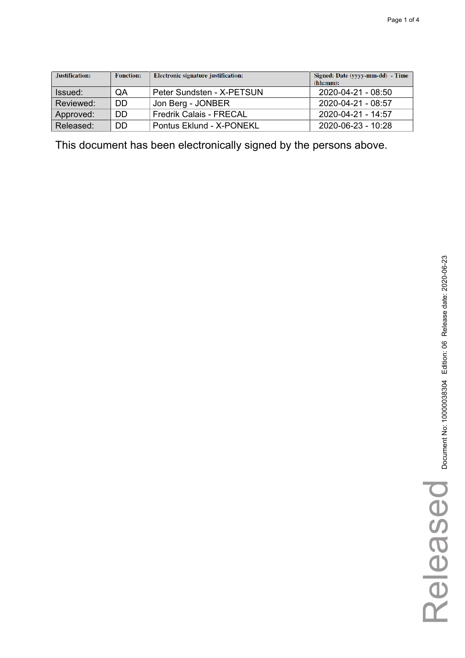| Justification: | <b>Function:</b> | Electronic signature justification: | Signed: Date (yyyy-mm-dd) - Time<br>(hh:mm): |
|----------------|------------------|-------------------------------------|----------------------------------------------|
| Issued:        | QA               | Peter Sundsten - X-PETSUN           | 2020-04-21 - 08:50                           |
| Reviewed:      | DD               | Jon Berg - JONBER                   | 2020-04-21 - 08:57                           |
| Approved:      | DD               | <b>Fredrik Calais - FRECAL</b>      | 2020-04-21 - 14:57                           |
| Released:      | DD               | Pontus Eklund - X-PONEKL            | 2020-06-23 - 10:28                           |

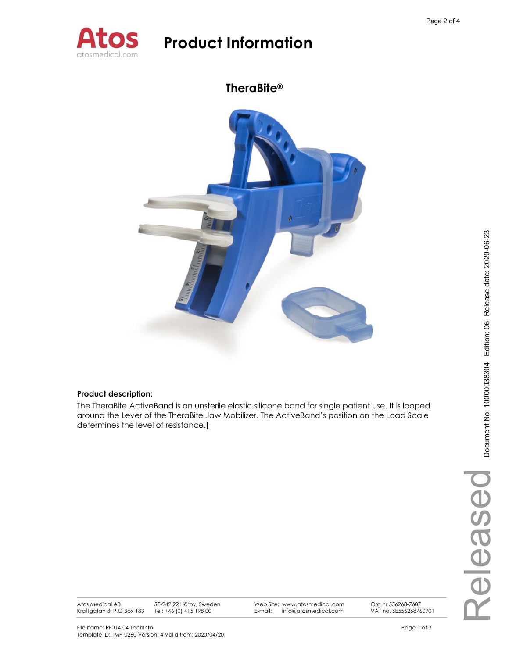

## **TheraBite®**



### **Product description:**

The TheraBite ActiveBand is an unsterile elastic silicone band for single patient use. It is looped around the Lever of the TheraBite Jaw Mobilizer. The ActiveBand's position on the Load Scale determines the level of resistance.]

Atos Medical AB Kraftgatan 8, P.O Box 183 SE-242 22 Hörby, Sweden Tel: +46 (0) 415 198 00

Web Site: www.atosmedical.com E-mail: info@atosmedical.com

Org.nr 556268-7607 VAT no. SE556268760701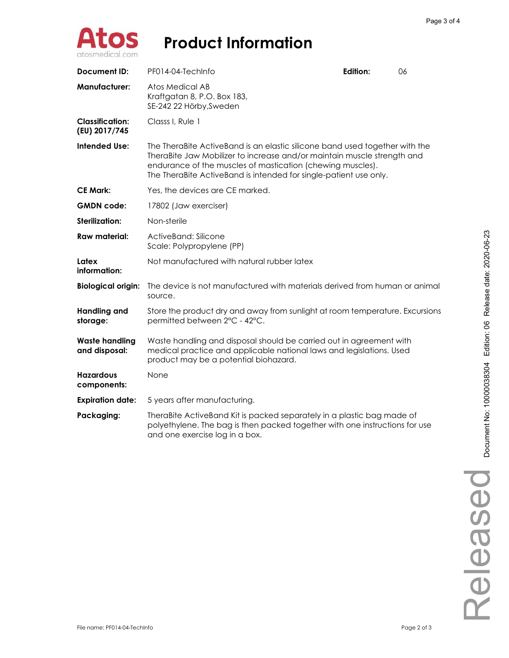

| Document ID:                            | PF014-04-TechInfo                                                                                                                                                                                                                                                                         | Edition: | 06 |  |  |
|-----------------------------------------|-------------------------------------------------------------------------------------------------------------------------------------------------------------------------------------------------------------------------------------------------------------------------------------------|----------|----|--|--|
| <b>Manufacturer:</b>                    | Atos Medical AB<br>Kraftgatan 8, P.O. Box 183,<br>SE-242 22 Hörby, Sweden                                                                                                                                                                                                                 |          |    |  |  |
| <b>Classification:</b><br>(EU) 2017/745 | Classs I, Rule 1                                                                                                                                                                                                                                                                          |          |    |  |  |
| <b>Intended Use:</b>                    | The TheraBite ActiveBand is an elastic silicone band used together with the<br>TheraBite Jaw Mobilizer to increase and/or maintain muscle strength and<br>endurance of the muscles of mastication (chewing muscles).<br>The TheraBite ActiveBand is intended for single-patient use only. |          |    |  |  |
| <b>CE Mark:</b>                         | Yes, the devices are CE marked.                                                                                                                                                                                                                                                           |          |    |  |  |
| <b>GMDN</b> code:                       | 17802 (Jaw exerciser)                                                                                                                                                                                                                                                                     |          |    |  |  |
| <b>Sterilization:</b>                   | Non-sterile                                                                                                                                                                                                                                                                               |          |    |  |  |
| Raw material:                           | ActiveBand: Silicone<br>Scale: Polypropylene (PP)                                                                                                                                                                                                                                         |          |    |  |  |
| Latex<br>information:                   | Not manufactured with natural rubber latex                                                                                                                                                                                                                                                |          |    |  |  |
| <b>Biological origin:</b>               | The device is not manufactured with materials derived from human or animal<br>source.                                                                                                                                                                                                     |          |    |  |  |
| <b>Handling and</b><br>storage:         | Store the product dry and away from sunlight at room temperature. Excursions<br>permitted between 2°C - 42°C.                                                                                                                                                                             |          |    |  |  |
| <b>Waste handling</b><br>and disposal:  | Waste handling and disposal should be carried out in agreement with<br>medical practice and applicable national laws and legislations. Used<br>product may be a potential biohazard.                                                                                                      |          |    |  |  |
| <b>Hazardous</b><br>components:         | None                                                                                                                                                                                                                                                                                      |          |    |  |  |
| <b>Expiration date:</b>                 | 5 years after manufacturing.                                                                                                                                                                                                                                                              |          |    |  |  |
| Packaging:                              | TheraBite ActiveBand Kit is packed separately in a plastic bag made of<br>polyethylene. The bag is then packed together with one instructions for use<br>and one exercise log in a box.                                                                                                   |          |    |  |  |